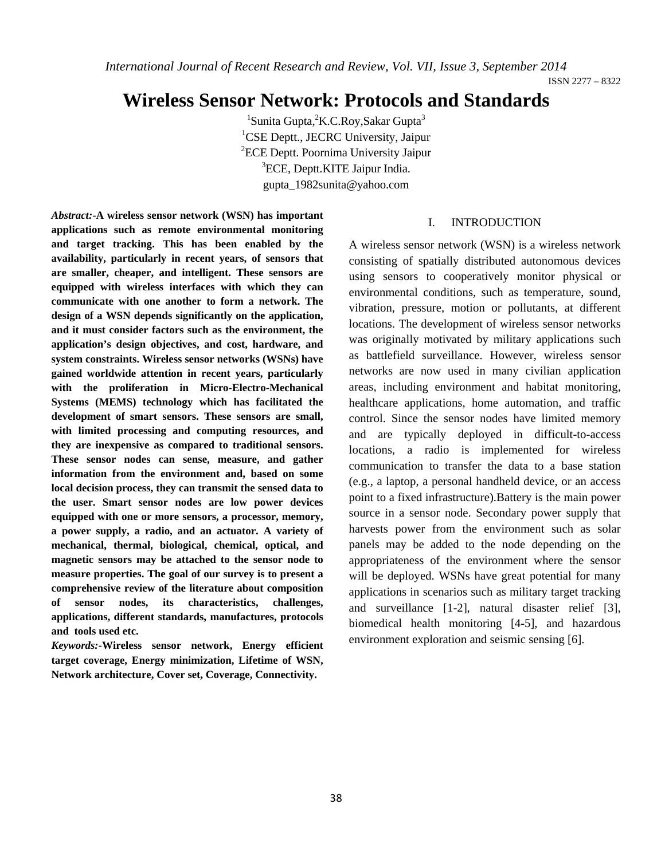*International Journal of Recent Research and Review, Vol. VII, Issue 3, September 2014* 

ISSN 2277 – 8322

# **Wireless Sensor Network: Protocols and Standards**

<sup>1</sup>Sunita Gupta, <sup>2</sup>K.C.Roy, Sakar Gupta<sup>3</sup> <sup>1</sup>CSE Deptt., JECRC University, Jaipur <sup>2</sup>ECE Deptt. Poornima University Jaipur <sup>3</sup>ECE, Deptt.KITE Jaipur India. gupta\_1982sunita@yahoo.com

*Abstract:***-A wireless sensor network (WSN) has important applications such as remote environmental monitoring and target tracking. This has been enabled by the availability, particularly in recent years, of sensors that are smaller, cheaper, and intelligent. These sensors are equipped with wireless interfaces with which they can communicate with one another to form a network. The design of a WSN depends significantly on the application, and it must consider factors such as the environment, the application's design objectives, and cost, hardware, and system constraints. Wireless sensor networks (WSNs) have gained worldwide attention in recent years, particularly with the proliferation in Micro-Electro-Mechanical Systems (MEMS) technology which has facilitated the development of smart sensors. These sensors are small, with limited processing and computing resources, and they are inexpensive as compared to traditional sensors. These sensor nodes can sense, measure, and gather information from the environment and, based on some local decision process, they can transmit the sensed data to the user. Smart sensor nodes are low power devices equipped with one or more sensors, a processor, memory, a power supply, a radio, and an actuator. A variety of mechanical, thermal, biological, chemical, optical, and magnetic sensors may be attached to the sensor node to measure properties. The goal of our survey is to present a comprehensive review of the literature about composition of sensor nodes, its characteristics, challenges, applications, different standards, manufactures, protocols and tools used etc.** 

*Keywords:-***Wireless sensor network, Energy efficient target coverage, Energy minimization, Lifetime of WSN, Network architecture, Cover set, Coverage, Connectivity.** 

### I. INTRODUCTION

A wireless sensor network (WSN) is a wireless network consisting of spatially distributed autonomous devices using sensors to cooperatively monitor physical or environmental conditions, such as temperature, sound, vibration, pressure, motion or pollutants, at different locations. The development of wireless sensor networks was originally motivated by military applications such as battlefield surveillance. However, wireless sensor networks are now used in many civilian application areas, including environment and habitat monitoring, healthcare applications, home automation, and traffic control. Since the sensor nodes have limited memory and are typically deployed in difficult-to-access locations, a radio is implemented for wireless communication to transfer the data to a base station (e.g., a laptop, a personal handheld device, or an access point to a fixed infrastructure).Battery is the main power source in a sensor node. Secondary power supply that harvests power from the environment such as solar panels may be added to the node depending on the appropriateness of the environment where the sensor will be deployed. WSNs have great potential for many applications in scenarios such as military target tracking and surveillance [1-2], natural disaster relief [3], biomedical health monitoring [4-5], and hazardous environment exploration and seismic sensing [6].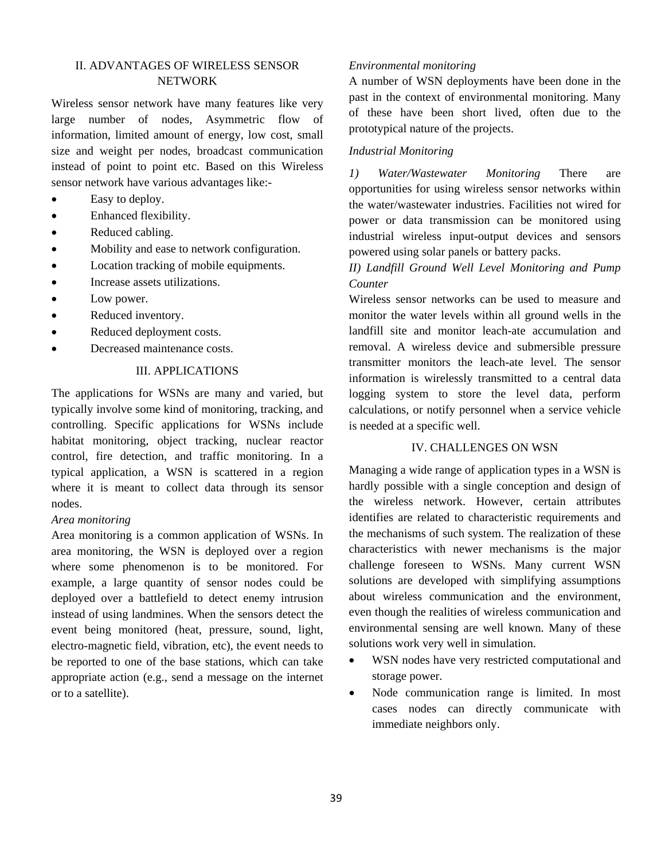# II. ADVANTAGES OF WIRELESS SENSOR NETWORK

Wireless sensor network have many features like very large number of nodes, Asymmetric flow of information, limited amount of energy, low cost, small size and weight per nodes, broadcast communication instead of point to point etc. Based on this Wireless sensor network have various advantages like:-

- Easy to deploy.
- Enhanced flexibility.
- Reduced cabling.
- Mobility and ease to network configuration.
- Location tracking of mobile equipments.
- Increase assets utilizations.
- Low power.
- Reduced inventory.
- Reduced deployment costs.
- Decreased maintenance costs.

### III. APPLICATIONS

The applications for WSNs are many and varied, but typically involve some kind of monitoring, tracking, and controlling. Specific applications for WSNs include habitat monitoring, object tracking, nuclear reactor control, fire detection, and traffic monitoring. In a typical application, a WSN is scattered in a region where it is meant to collect data through its sensor nodes.

#### *Area monitoring*

Area monitoring is a common application of WSNs. In area monitoring, the WSN is deployed over a region where some phenomenon is to be monitored. For example, a large quantity of sensor nodes could be deployed over a battlefield to detect enemy intrusion instead of using landmines. When the sensors detect the event being monitored (heat, pressure, sound, light, electro-magnetic field, vibration, etc), the event needs to be reported to one of the base stations, which can take appropriate action (e.g., send a message on the internet or to a satellite).

#### *Environmental monitoring*

A number of WSN deployments have been done in the past in the context of environmental monitoring. Many of these have been short lived, often due to the prototypical nature of the projects.

## *Industrial Monitoring*

*1) Water/Wastewater Monitoring* There are opportunities for using wireless sensor networks within the water/wastewater industries. Facilities not wired for power or data transmission can be monitored using industrial wireless input-output devices and sensors powered using solar panels or battery packs.

# *II) Landfill Ground Well Level Monitoring and Pump Counter*

Wireless sensor networks can be used to measure and monitor the water levels within all ground wells in the landfill site and monitor leach-ate accumulation and removal. A wireless device and submersible pressure transmitter monitors the leach-ate level. The sensor information is wirelessly transmitted to a central data logging system to store the level data, perform calculations, or notify personnel when a service vehicle is needed at a specific well.

### IV. CHALLENGES ON WSN

Managing a wide range of application types in a WSN is hardly possible with a single conception and design of the wireless network. However, certain attributes identifies are related to characteristic requirements and the mechanisms of such system. The realization of these characteristics with newer mechanisms is the major challenge foreseen to WSNs. Many current WSN solutions are developed with simplifying assumptions about wireless communication and the environment, even though the realities of wireless communication and environmental sensing are well known. Many of these solutions work very well in simulation.

- WSN nodes have very restricted computational and storage power.
- Node communication range is limited. In most cases nodes can directly communicate with immediate neighbors only.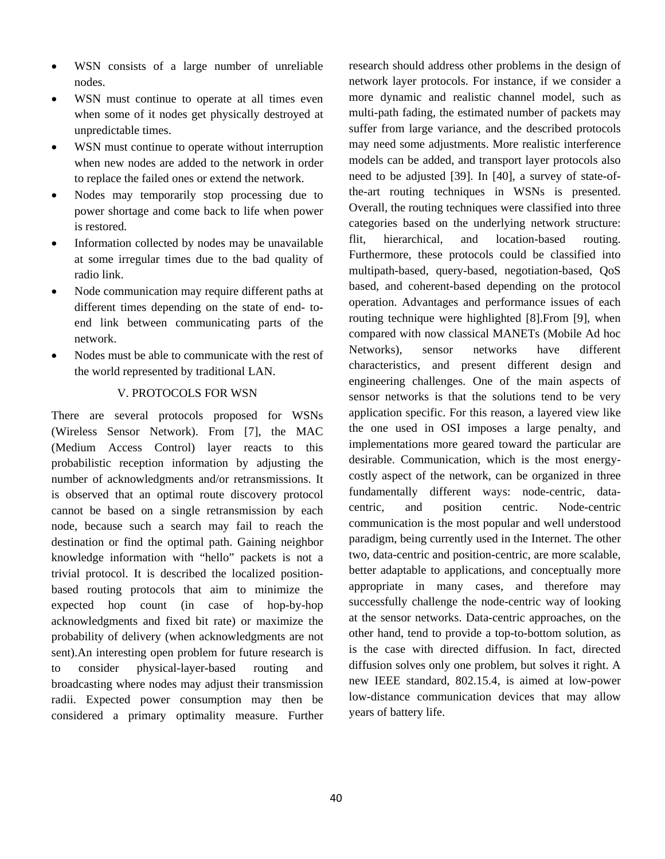- WSN consists of a large number of unreliable nodes.
- WSN must continue to operate at all times even when some of it nodes get physically destroyed at unpredictable times.
- WSN must continue to operate without interruption when new nodes are added to the network in order to replace the failed ones or extend the network.
- Nodes may temporarily stop processing due to power shortage and come back to life when power is restored.
- Information collected by nodes may be unavailable at some irregular times due to the bad quality of radio link.
- Node communication may require different paths at different times depending on the state of end- toend link between communicating parts of the network.
- Nodes must be able to communicate with the rest of the world represented by traditional LAN.

# V. PROTOCOLS FOR WSN

There are several protocols proposed for WSNs (Wireless Sensor Network). From [7], the MAC (Medium Access Control) layer reacts to this probabilistic reception information by adjusting the number of acknowledgments and/or retransmissions. It is observed that an optimal route discovery protocol cannot be based on a single retransmission by each node, because such a search may fail to reach the destination or find the optimal path. Gaining neighbor knowledge information with "hello" packets is not a trivial protocol. It is described the localized positionbased routing protocols that aim to minimize the expected hop count (in case of hop-by-hop acknowledgments and fixed bit rate) or maximize the probability of delivery (when acknowledgments are not sent).An interesting open problem for future research is to consider physical-layer-based routing and broadcasting where nodes may adjust their transmission radii. Expected power consumption may then be considered a primary optimality measure. Further research should address other problems in the design of network layer protocols. For instance, if we consider a more dynamic and realistic channel model, such as multi-path fading, the estimated number of packets may suffer from large variance, and the described protocols may need some adjustments. More realistic interference models can be added, and transport layer protocols also need to be adjusted [39]. In [40], a survey of state-ofthe-art routing techniques in WSNs is presented. Overall, the routing techniques were classified into three categories based on the underlying network structure: flit, hierarchical, and location-based routing. Furthermore, these protocols could be classified into multipath-based, query-based, negotiation-based, QoS based, and coherent-based depending on the protocol operation. Advantages and performance issues of each routing technique were highlighted [8].From [9], when compared with now classical MANETs (Mobile Ad hoc Networks), sensor networks have different characteristics, and present different design and engineering challenges. One of the main aspects of sensor networks is that the solutions tend to be very application specific. For this reason, a layered view like the one used in OSI imposes a large penalty, and implementations more geared toward the particular are desirable. Communication, which is the most energycostly aspect of the network, can be organized in three fundamentally different ways: node-centric, datacentric, and position centric. Node-centric communication is the most popular and well understood paradigm, being currently used in the Internet. The other two, data-centric and position-centric, are more scalable, better adaptable to applications, and conceptually more appropriate in many cases, and therefore may successfully challenge the node-centric way of looking at the sensor networks. Data-centric approaches, on the other hand, tend to provide a top-to-bottom solution, as is the case with directed diffusion. In fact, directed diffusion solves only one problem, but solves it right. A new IEEE standard, 802.15.4, is aimed at low-power low-distance communication devices that may allow years of battery life.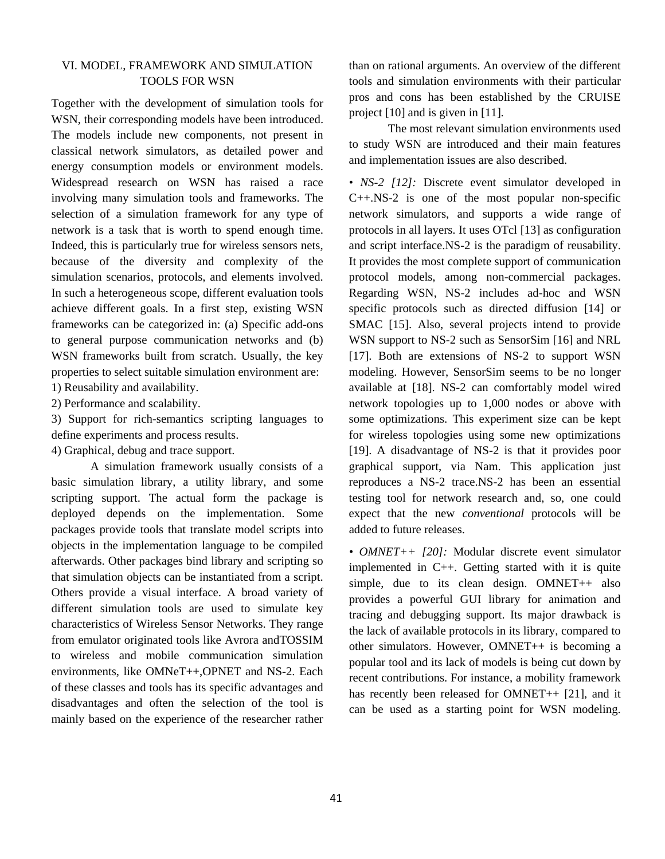## VI. MODEL, FRAMEWORK AND SIMULATION TOOLS FOR WSN

Together with the development of simulation tools for WSN, their corresponding models have been introduced. The models include new components, not present in classical network simulators, as detailed power and energy consumption models or environment models. Widespread research on WSN has raised a race involving many simulation tools and frameworks. The selection of a simulation framework for any type of network is a task that is worth to spend enough time. Indeed, this is particularly true for wireless sensors nets, because of the diversity and complexity of the simulation scenarios, protocols, and elements involved. In such a heterogeneous scope, different evaluation tools achieve different goals. In a first step, existing WSN frameworks can be categorized in: (a) Specific add-ons to general purpose communication networks and (b) WSN frameworks built from scratch. Usually, the key properties to select suitable simulation environment are: 1) Reusability and availability.

2) Performance and scalability.

3) Support for rich-semantics scripting languages to define experiments and process results.

4) Graphical, debug and trace support.

A simulation framework usually consists of a basic simulation library, a utility library, and some scripting support. The actual form the package is deployed depends on the implementation. Some packages provide tools that translate model scripts into objects in the implementation language to be compiled afterwards. Other packages bind library and scripting so that simulation objects can be instantiated from a script. Others provide a visual interface. A broad variety of different simulation tools are used to simulate key characteristics of Wireless Sensor Networks. They range from emulator originated tools like Avrora andTOSSIM to wireless and mobile communication simulation environments, like OMNeT++,OPNET and NS-2. Each of these classes and tools has its specific advantages and disadvantages and often the selection of the tool is mainly based on the experience of the researcher rather than on rational arguments. An overview of the different tools and simulation environments with their particular pros and cons has been established by the CRUISE project [10] and is given in [11].

The most relevant simulation environments used to study WSN are introduced and their main features and implementation issues are also described.

*• NS-2 [12]:* Discrete event simulator developed in C++.NS-2 is one of the most popular non-specific network simulators, and supports a wide range of protocols in all layers. It uses OTcl [13] as configuration and script interface.NS-2 is the paradigm of reusability. It provides the most complete support of communication protocol models, among non-commercial packages. Regarding WSN, NS-2 includes ad-hoc and WSN specific protocols such as directed diffusion [14] or SMAC [15]. Also, several projects intend to provide WSN support to NS-2 such as SensorSim [16] and NRL [17]. Both are extensions of NS-2 to support WSN modeling. However, SensorSim seems to be no longer available at [18]. NS-2 can comfortably model wired network topologies up to 1,000 nodes or above with some optimizations. This experiment size can be kept for wireless topologies using some new optimizations [19]. A disadvantage of NS-2 is that it provides poor graphical support, via Nam. This application just reproduces a NS-2 trace.NS-2 has been an essential testing tool for network research and, so, one could expect that the new *conventional* protocols will be added to future releases.

*• OMNET++ [20]:* Modular discrete event simulator implemented in C++. Getting started with it is quite simple, due to its clean design. OMNET++ also provides a powerful GUI library for animation and tracing and debugging support. Its major drawback is the lack of available protocols in its library, compared to other simulators. However, OMNET++ is becoming a popular tool and its lack of models is being cut down by recent contributions. For instance, a mobility framework has recently been released for OMNET++ [21], and it can be used as a starting point for WSN modeling.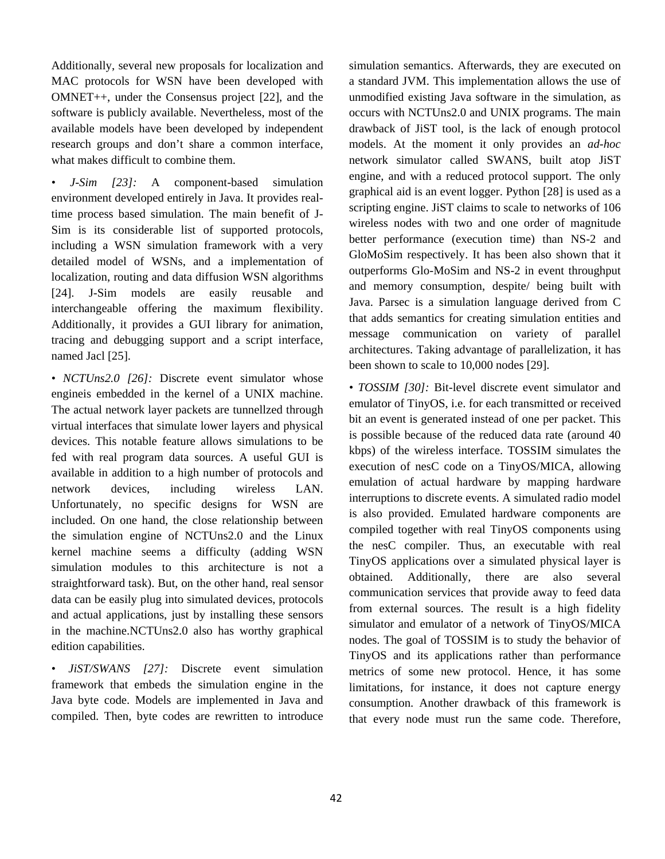Additionally, several new proposals for localization and MAC protocols for WSN have been developed with OMNET++, under the Consensus project [22], and the software is publicly available. Nevertheless, most of the available models have been developed by independent research groups and don't share a common interface, what makes difficult to combine them.

*• J-Sim [23]:* A component-based simulation environment developed entirely in Java. It provides realtime process based simulation. The main benefit of J-Sim is its considerable list of supported protocols, including a WSN simulation framework with a very detailed model of WSNs, and a implementation of localization, routing and data diffusion WSN algorithms [24]. J-Sim models are easily reusable and interchangeable offering the maximum flexibility. Additionally, it provides a GUI library for animation, tracing and debugging support and a script interface, named Jacl [25].

• *NCTUns2.0 [26]:* Discrete event simulator whose engineis embedded in the kernel of a UNIX machine. The actual network layer packets are tunnellzed through virtual interfaces that simulate lower layers and physical devices. This notable feature allows simulations to be fed with real program data sources. A useful GUI is available in addition to a high number of protocols and network devices, including wireless LAN. Unfortunately, no specific designs for WSN are included. On one hand, the close relationship between the simulation engine of NCTUns2.0 and the Linux kernel machine seems a difficulty (adding WSN simulation modules to this architecture is not a straightforward task). But, on the other hand, real sensor data can be easily plug into simulated devices, protocols and actual applications, just by installing these sensors in the machine.NCTUns2.0 also has worthy graphical edition capabilities.

*• JiST/SWANS [27]:* Discrete event simulation framework that embeds the simulation engine in the Java byte code. Models are implemented in Java and compiled. Then, byte codes are rewritten to introduce

simulation semantics. Afterwards, they are executed on a standard JVM. This implementation allows the use of unmodified existing Java software in the simulation, as occurs with NCTUns2.0 and UNIX programs. The main drawback of JiST tool, is the lack of enough protocol models. At the moment it only provides an *ad-hoc*  network simulator called SWANS, built atop JiST engine, and with a reduced protocol support. The only graphical aid is an event logger. Python [28] is used as a scripting engine. JiST claims to scale to networks of 106 wireless nodes with two and one order of magnitude better performance (execution time) than NS-2 and GloMoSim respectively. It has been also shown that it outperforms Glo-MoSim and NS-2 in event throughput and memory consumption, despite/ being built with Java. Parsec is a simulation language derived from C that adds semantics for creating simulation entities and message communication on variety of parallel architectures. Taking advantage of parallelization, it has been shown to scale to 10,000 nodes [29].

*• TOSSIM [30]:* Bit-level discrete event simulator and emulator of TinyOS, i.e. for each transmitted or received bit an event is generated instead of one per packet. This is possible because of the reduced data rate (around 40 kbps) of the wireless interface. TOSSIM simulates the execution of nesC code on a TinyOS/MICA, allowing emulation of actual hardware by mapping hardware interruptions to discrete events. A simulated radio model is also provided. Emulated hardware components are compiled together with real TinyOS components using the nesC compiler. Thus, an executable with real TinyOS applications over a simulated physical layer is obtained. Additionally, there are also several communication services that provide away to feed data from external sources. The result is a high fidelity simulator and emulator of a network of TinyOS/MICA nodes. The goal of TOSSIM is to study the behavior of TinyOS and its applications rather than performance metrics of some new protocol. Hence, it has some limitations, for instance, it does not capture energy consumption. Another drawback of this framework is that every node must run the same code. Therefore,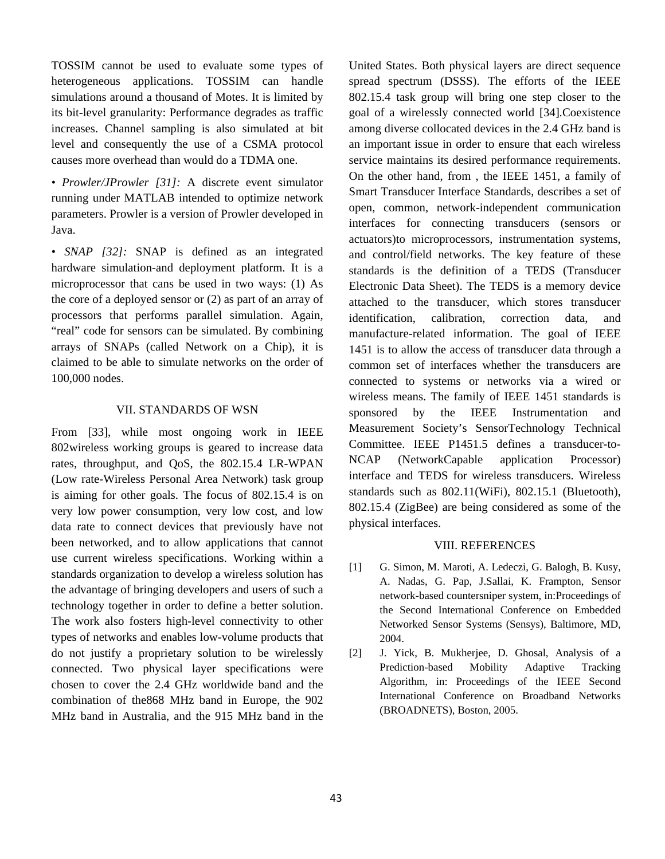TOSSIM cannot be used to evaluate some types of heterogeneous applications. TOSSIM can handle simulations around a thousand of Motes. It is limited by its bit-level granularity: Performance degrades as traffic increases. Channel sampling is also simulated at bit level and consequently the use of a CSMA protocol causes more overhead than would do a TDMA one.

*• Prowler/JProwler [31]:* A discrete event simulator running under MATLAB intended to optimize network parameters. Prowler is a version of Prowler developed in Java.

*• SNAP [32]:* SNAP is defined as an integrated hardware simulation-and deployment platform. It is a microprocessor that cans be used in two ways: (1) As the core of a deployed sensor or (2) as part of an array of processors that performs parallel simulation. Again, "real" code for sensors can be simulated. By combining arrays of SNAPs (called Network on a Chip), it is claimed to be able to simulate networks on the order of 100,000 nodes.

### VII. STANDARDS OF WSN

From [33], while most ongoing work in IEEE 802wireless working groups is geared to increase data rates, throughput, and QoS, the 802.15.4 LR-WPAN (Low rate-Wireless Personal Area Network) task group is aiming for other goals. The focus of 802.15.4 is on very low power consumption, very low cost, and low data rate to connect devices that previously have not been networked, and to allow applications that cannot use current wireless specifications. Working within a standards organization to develop a wireless solution has the advantage of bringing developers and users of such a technology together in order to define a better solution. The work also fosters high-level connectivity to other types of networks and enables low-volume products that do not justify a proprietary solution to be wirelessly connected. Two physical layer specifications were chosen to cover the 2.4 GHz worldwide band and the combination of the868 MHz band in Europe, the 902 MHz band in Australia, and the 915 MHz band in the

United States. Both physical layers are direct sequence spread spectrum (DSSS). The efforts of the IEEE 802.15.4 task group will bring one step closer to the goal of a wirelessly connected world [34].Coexistence among diverse collocated devices in the 2.4 GHz band is an important issue in order to ensure that each wireless service maintains its desired performance requirements. On the other hand, from , the IEEE 1451, a family of Smart Transducer Interface Standards, describes a set of open, common, network-independent communication interfaces for connecting transducers (sensors or actuators)to microprocessors, instrumentation systems, and control/field networks. The key feature of these standards is the definition of a TEDS (Transducer Electronic Data Sheet). The TEDS is a memory device attached to the transducer, which stores transducer identification, calibration, correction data, and manufacture-related information. The goal of IEEE 1451 is to allow the access of transducer data through a common set of interfaces whether the transducers are connected to systems or networks via a wired or wireless means. The family of IEEE 1451 standards is sponsored by the IEEE Instrumentation and Measurement Society's SensorTechnology Technical Committee. IEEE P1451.5 defines a transducer-to-NCAP (NetworkCapable application Processor) interface and TEDS for wireless transducers. Wireless standards such as 802.11(WiFi), 802.15.1 (Bluetooth), 802.15.4 (ZigBee) are being considered as some of the physical interfaces.

#### VIII. REFERENCES

- [1] G. Simon, M. Maroti, A. Ledeczi, G. Balogh, B. Kusy, A. Nadas, G. Pap, J.Sallai, K. Frampton, Sensor network-based countersniper system, in:Proceedings of the Second International Conference on Embedded Networked Sensor Systems (Sensys), Baltimore, MD, 2004.
- [2] J. Yick, B. Mukherjee, D. Ghosal, Analysis of a Prediction-based Mobility Adaptive Tracking Algorithm, in: Proceedings of the IEEE Second International Conference on Broadband Networks (BROADNETS), Boston, 2005.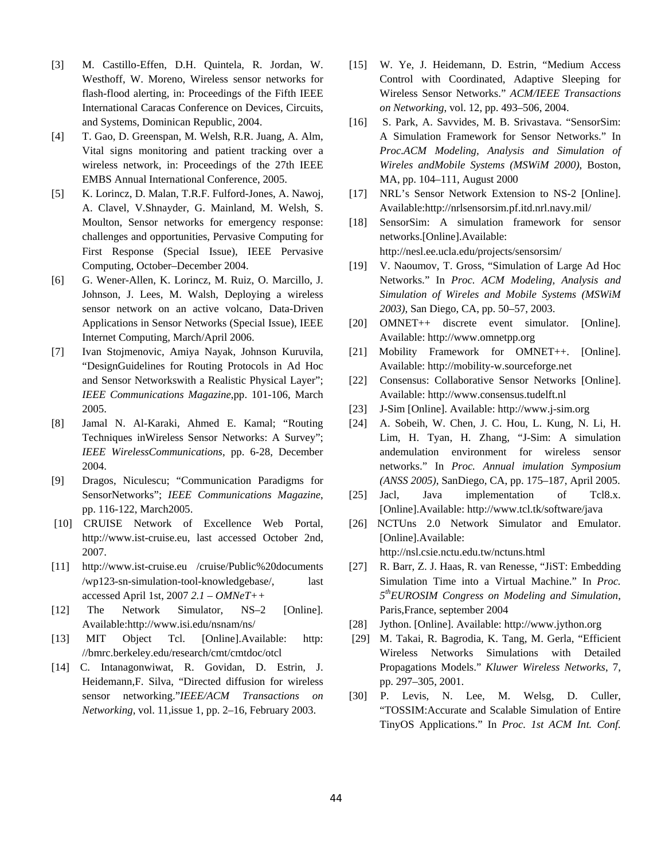- [3] M. Castillo-Effen, D.H. Quintela, R. Jordan, W. Westhoff, W. Moreno, Wireless sensor networks for flash-flood alerting, in: Proceedings of the Fifth IEEE International Caracas Conference on Devices, Circuits, and Systems, Dominican Republic, 2004.
- [4] T. Gao, D. Greenspan, M. Welsh, R.R. Juang, A. Alm, Vital signs monitoring and patient tracking over a wireless network, in: Proceedings of the 27th IEEE EMBS Annual International Conference, 2005.
- [5] K. Lorincz, D. Malan, T.R.F. Fulford-Jones, A. Nawoj, A. Clavel, V.Shnayder, G. Mainland, M. Welsh, S. Moulton, Sensor networks for emergency response: challenges and opportunities, Pervasive Computing for First Response (Special Issue), IEEE Pervasive Computing, October–December 2004.
- [6] G. Wener-Allen, K. Lorincz, M. Ruiz, O. Marcillo, J. Johnson, J. Lees, M. Walsh, Deploying a wireless sensor network on an active volcano, Data-Driven Applications in Sensor Networks (Special Issue), IEEE Internet Computing, March/April 2006.
- [7] Ivan Stojmenovic, Amiya Nayak, Johnson Kuruvila, "DesignGuidelines for Routing Protocols in Ad Hoc and Sensor Networkswith a Realistic Physical Layer"; *IEEE Communications Magazine*,pp. 101-106, March 2005.
- [8] Jamal N. Al-Karaki, Ahmed E. Kamal; "Routing Techniques inWireless Sensor Networks: A Survey"; *IEEE WirelessCommunications*, pp. 6-28, December 2004.
- [9] Dragos, Niculescu; "Communication Paradigms for SensorNetworks"; *IEEE Communications Magazine*, pp. 116-122, March2005.
- [10] CRUISE Network of Excellence Web Portal, http://www.ist-cruise.eu, last accessed October 2nd, 2007.
- [11] http://www.ist-cruise.eu /cruise/Public%20documents /wp123-sn-simulation-tool-knowledgebase/, last accessed April 1st, 2007 *2.1 – OMNeT++*
- [12] The Network Simulator, NS–2 [Online]. Available:http://www.isi.edu/nsnam/ns/
- [13] MIT Object Tcl. [Online].Available: http: //bmrc.berkeley.edu/research/cmt/cmtdoc/otcl
- [14] C. Intanagonwiwat, R. Govidan, D. Estrin, J. Heidemann,F. Silva, "Directed diffusion for wireless sensor networking."*IEEE/ACM Transactions on Networking*, vol. 11,issue 1, pp. 2–16, February 2003.
- [15] W. Ye, J. Heidemann, D. Estrin, "Medium Access Control with Coordinated, Adaptive Sleeping for Wireless Sensor Networks." *ACM/IEEE Transactions on Networking*, vol. 12, pp. 493–506, 2004.
- [16] S. Park, A. Savvides, M. B. Srivastava. "SensorSim: A Simulation Framework for Sensor Networks." In *Proc.ACM Modeling, Analysis and Simulation of Wireles andMobile Systems (MSWiM 2000)*, Boston, MA, pp. 104–111, August 2000
- [17] NRL's Sensor Network Extension to NS-2 [Online]. Available:http://nrlsensorsim.pf.itd.nrl.navy.mil/
- [18] SensorSim: A simulation framework for sensor networks.[Online].Available: http://nesl.ee.ucla.edu/projects/sensorsim/
- [19] V. Naoumov, T. Gross, "Simulation of Large Ad Hoc Networks." In *Proc. ACM Modeling, Analysis and Simulation of Wireles and Mobile Systems (MSWiM 2003)*, San Diego, CA, pp. 50–57, 2003.
- [20] OMNET++ discrete event simulator. [Online]. Available: http://www.omnetpp.org
- [21] Mobility Framework for OMNET++. [Online]. Available: http://mobility-w.sourceforge.net
- [22] Consensus: Collaborative Sensor Networks [Online]. Available: http://www.consensus.tudelft.nl
- [23] J-Sim [Online]. Available: http://www.j-sim.org
- [24] A. Sobeih, W. Chen, J. C. Hou, L. Kung, N. Li, H. Lim, H. Tyan, H. Zhang, "J-Sim: A simulation andemulation environment for wireless sensor networks." In *Proc. Annual imulation Symposium (ANSS 2005)*, SanDiego, CA, pp. 175–187, April 2005.
- [25] Jacl, Java implementation of Tcl8.x. [Online].Available: http://www.tcl.tk/software/java
- [26] NCTUns 2.0 Network Simulator and Emulator. [Online].Available:

http://nsl.csie.nctu.edu.tw/nctuns.html

- [27] R. Barr, Z. J. Haas, R. van Renesse, "JiST: Embedding Simulation Time into a Virtual Machine." In *Proc. 5thEUROSIM Congress on Modeling and Simulation*, Paris,France, september 2004
- [28] Jython. [Online]. Available: http://www.jython.org
- [29] M. Takai, R. Bagrodia, K. Tang, M. Gerla, "Efficient Wireless Networks Simulations with Detailed Propagations Models." *Kluwer Wireless Networks*, 7, pp. 297–305, 2001.
- [30] P. Levis, N. Lee, M. Welsg, D. Culler, "TOSSIM:Accurate and Scalable Simulation of Entire TinyOS Applications." In *Proc. 1st ACM Int. Conf.*